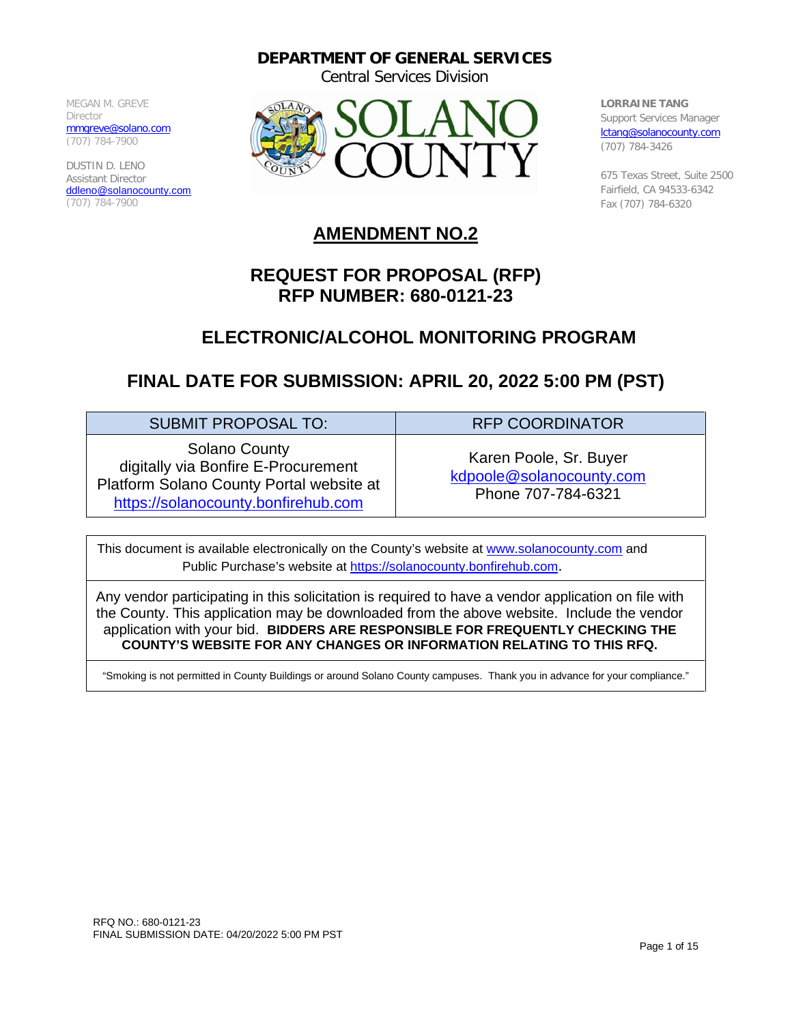**DEPARTMENT OF GENERAL SERVICES**

Central Services Division

MEGAN M. GREVE Director [mmgreve@solano.com](mailto:mmgreve@solano.com) (707) 784-7900

DUSTIN D. LENO Assistant Director [ddleno@solanocounty.com](mailto:ddleno@solanocounty.com) (707) 784-7900



**LORRAINE TANG** Support Services Manager [lctang@solanocounty.com](mailto:lctang@solanocounty.com) (707) 784-3426

675 Texas Street, Suite 2500 Fairfield, CA 94533-6342 Fax (707) 784-6320

# **AMENDMENT NO.2**

# **REQUEST FOR PROPOSAL (RFP) RFP NUMBER: 680-0121-23**

# **ELECTRONIC/ALCOHOL MONITORING PROGRAM**

# **FINAL DATE FOR SUBMISSION: APRIL 20, 2022 5:00 PM (PST)**

| <b>SUBMIT PROPOSAL TO:</b>                                                                                                                     | <b>RFP COORDINATOR</b>                                                   |
|------------------------------------------------------------------------------------------------------------------------------------------------|--------------------------------------------------------------------------|
| <b>Solano County</b><br>digitally via Bonfire E-Procurement<br>Platform Solano County Portal website at<br>https://solanocounty.bonfirehub.com | Karen Poole, Sr. Buyer<br>kdpoole@solanocounty.com<br>Phone 707-784-6321 |

This document is available electronically on the County's website at [www.solanocounty.com](http://www.solanocounty.com/) and Public Purchase's website at [https://solanocounty.bonfirehub.com.](https://solanocounty.bonfirehub.com/)

Any vendor participating in this solicitation is required to have a vendor application on file with the County. This application may be downloaded from the above website. Include the vendor application with your bid. **BIDDERS ARE RESPONSIBLE FOR FREQUENTLY CHECKING THE COUNTY'S WEBSITE FOR ANY CHANGES OR INFORMATION RELATING TO THIS RFQ.**

"Smoking is not permitted in County Buildings or around Solano County campuses. Thank you in advance for your compliance."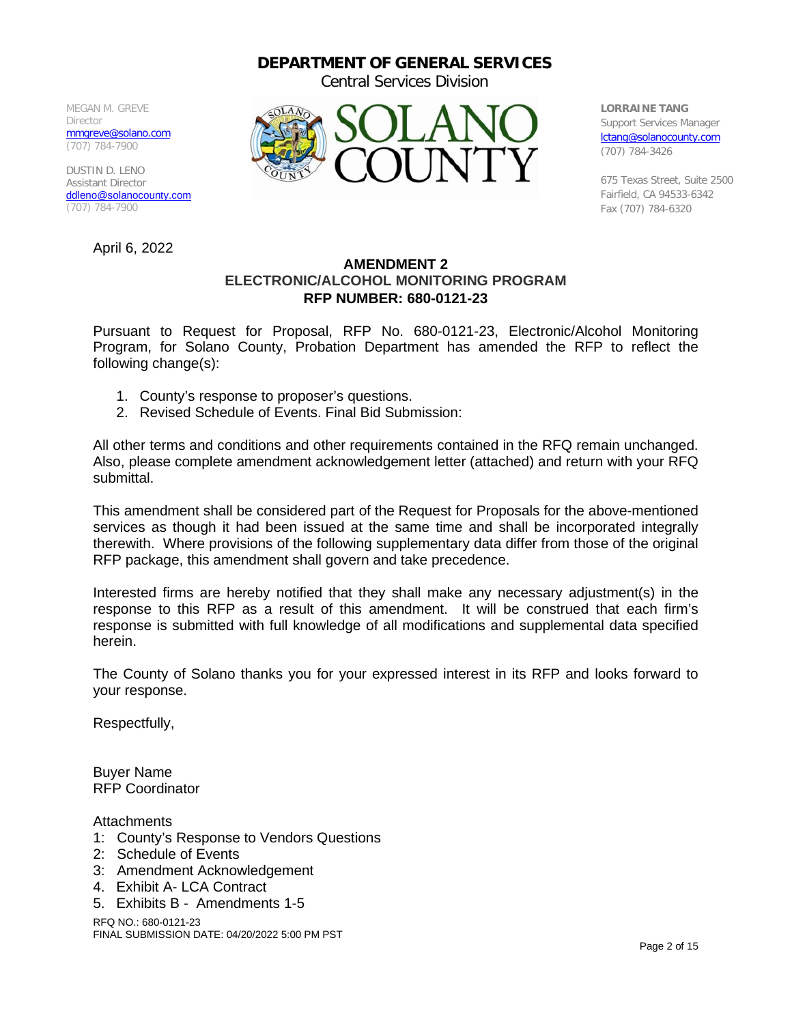#### **DEPARTMENT OF GENERAL SERVICES**

Central Services Division

MEGAN M. GREVE Director [mmgreve@solano.com](mailto:mmgreve@solano.com) (707) 784-7900

DUSTIN D. LENO Assistant Director [ddleno@solanocounty.com](mailto:ddleno@solanocounty.com) (707) 784-7900

April 6, 2022



**LORRAINE TANG** Support Services Manager [lctang@solanocounty.com](mailto:lctang@solanocounty.com) (707) 784-3426

675 Texas Street, Suite 2500 Fairfield, CA 94533-6342 Fax (707) 784-6320

#### **AMENDMENT 2 ELECTRONIC/ALCOHOL MONITORING PROGRAM RFP NUMBER: 680-0121-23**

Pursuant to Request for Proposal, RFP No. 680-0121-23, Electronic/Alcohol Monitoring Program, for Solano County, Probation Department has amended the RFP to reflect the following change(s):

- 1. County's response to proposer's questions.
- 2. Revised Schedule of Events. Final Bid Submission:

All other terms and conditions and other requirements contained in the RFQ remain unchanged. Also, please complete amendment acknowledgement letter (attached) and return with your RFQ submittal.

This amendment shall be considered part of the Request for Proposals for the above-mentioned services as though it had been issued at the same time and shall be incorporated integrally therewith. Where provisions of the following supplementary data differ from those of the original RFP package, this amendment shall govern and take precedence.

Interested firms are hereby notified that they shall make any necessary adjustment(s) in the response to this RFP as a result of this amendment. It will be construed that each firm's response is submitted with full knowledge of all modifications and supplemental data specified herein.

The County of Solano thanks you for your expressed interest in its RFP and looks forward to your response.

Respectfully,

Buyer Name RFP Coordinator

**Attachments** 

- 1: County's Response to Vendors Questions
- 2: Schedule of Events
- 3: Amendment Acknowledgement
- 4. Exhibit A- LCA Contract
- 5. Exhibits B Amendments 1-5

RFQ NO.: 680-0121-23 FINAL SUBMISSION DATE: 04/20/2022 5:00 PM PST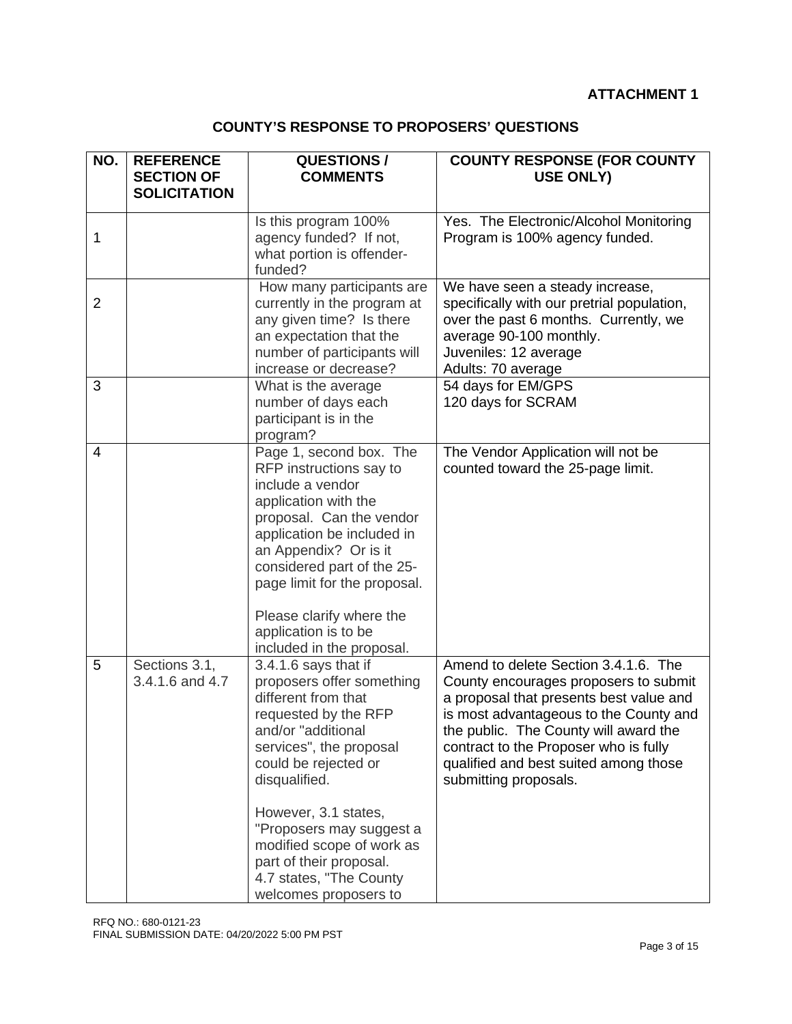#### **ATTACHMENT 1**

### **COUNTY'S RESPONSE TO PROPOSERS' QUESTIONS**

| NO.            | <b>REFERENCE</b><br><b>SECTION OF</b><br><b>SOLICITATION</b> | <b>QUESTIONS/</b><br><b>COMMENTS</b>                                                                                                                                                                                                                                                                                                                       | <b>COUNTY RESPONSE (FOR COUNTY</b><br><b>USE ONLY)</b>                                                                                                                                                                                                                                                                 |
|----------------|--------------------------------------------------------------|------------------------------------------------------------------------------------------------------------------------------------------------------------------------------------------------------------------------------------------------------------------------------------------------------------------------------------------------------------|------------------------------------------------------------------------------------------------------------------------------------------------------------------------------------------------------------------------------------------------------------------------------------------------------------------------|
| 1              |                                                              | Is this program 100%<br>agency funded? If not,<br>what portion is offender-<br>funded?                                                                                                                                                                                                                                                                     | Yes. The Electronic/Alcohol Monitoring<br>Program is 100% agency funded.                                                                                                                                                                                                                                               |
| $\overline{2}$ |                                                              | How many participants are<br>currently in the program at<br>any given time? Is there<br>an expectation that the<br>number of participants will<br>increase or decrease?                                                                                                                                                                                    | We have seen a steady increase,<br>specifically with our pretrial population,<br>over the past 6 months. Currently, we<br>average 90-100 monthly.<br>Juveniles: 12 average<br>Adults: 70 average                                                                                                                       |
| 3              |                                                              | What is the average<br>number of days each<br>participant is in the<br>program?                                                                                                                                                                                                                                                                            | 54 days for EM/GPS<br>120 days for SCRAM                                                                                                                                                                                                                                                                               |
| $\overline{4}$ |                                                              | Page 1, second box. The<br>RFP instructions say to<br>include a vendor<br>application with the<br>proposal. Can the vendor<br>application be included in<br>an Appendix? Or is it<br>considered part of the 25-<br>page limit for the proposal.<br>Please clarify where the<br>application is to be<br>included in the proposal.                           | The Vendor Application will not be<br>counted toward the 25-page limit.                                                                                                                                                                                                                                                |
| 5              | Sections 3.1,<br>3.4.1.6 and 4.7                             | 3.4.1.6 says that if<br>proposers offer something<br>different from that<br>requested by the RFP<br>and/or "additional<br>services", the proposal<br>could be rejected or<br>disqualified.<br>However, 3.1 states,<br>"Proposers may suggest a<br>modified scope of work as<br>part of their proposal.<br>4.7 states, "The County<br>welcomes proposers to | Amend to delete Section 3.4.1.6. The<br>County encourages proposers to submit<br>a proposal that presents best value and<br>is most advantageous to the County and<br>the public. The County will award the<br>contract to the Proposer who is fully<br>qualified and best suited among those<br>submitting proposals. |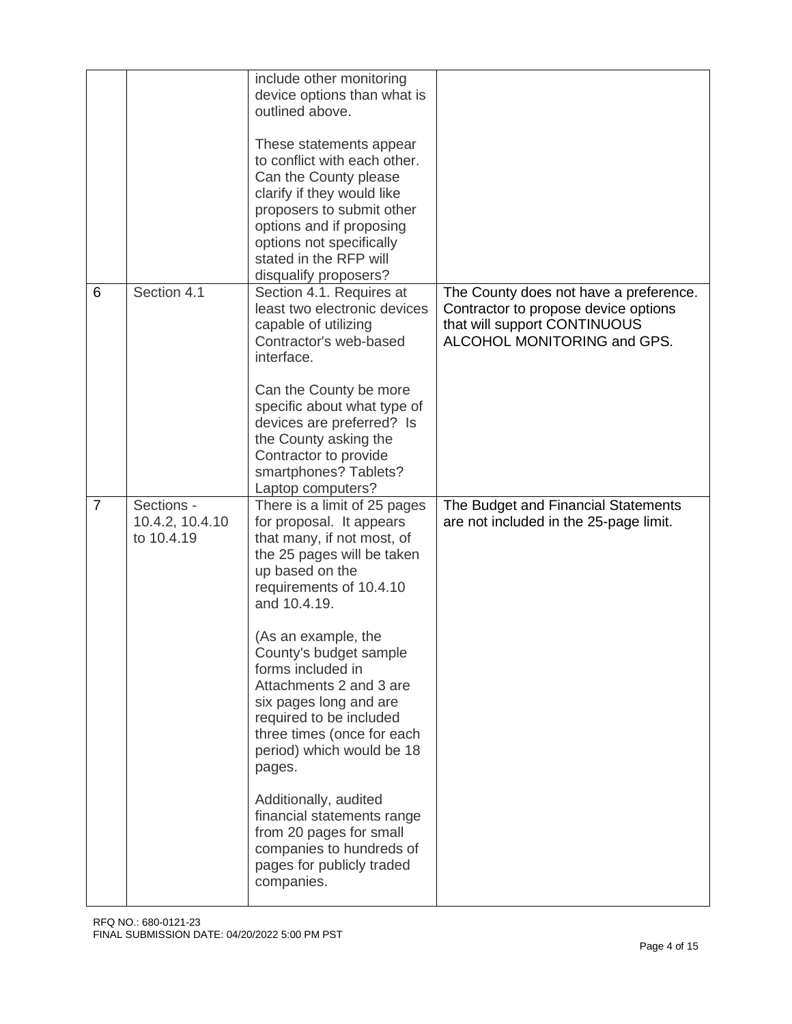|                |                                             | include other monitoring<br>device options than what is<br>outlined above.<br>These statements appear<br>to conflict with each other.<br>Can the County please<br>clarify if they would like<br>proposers to submit other<br>options and if proposing<br>options not specifically<br>stated in the RFP will<br>disqualify proposers?                                                                                                                                                                                                                                   |                                                                                                                                               |
|----------------|---------------------------------------------|------------------------------------------------------------------------------------------------------------------------------------------------------------------------------------------------------------------------------------------------------------------------------------------------------------------------------------------------------------------------------------------------------------------------------------------------------------------------------------------------------------------------------------------------------------------------|-----------------------------------------------------------------------------------------------------------------------------------------------|
| 6              | Section 4.1                                 | Section 4.1. Requires at<br>least two electronic devices<br>capable of utilizing<br>Contractor's web-based<br>interface.<br>Can the County be more<br>specific about what type of<br>devices are preferred? Is<br>the County asking the<br>Contractor to provide<br>smartphones? Tablets?<br>Laptop computers?                                                                                                                                                                                                                                                         | The County does not have a preference.<br>Contractor to propose device options<br>that will support CONTINUOUS<br>ALCOHOL MONITORING and GPS. |
| $\overline{7}$ | Sections -<br>10.4.2, 10.4.10<br>to 10.4.19 | There is a limit of 25 pages<br>for proposal. It appears<br>that many, if not most, of<br>the 25 pages will be taken<br>up based on the<br>requirements of 10.4.10<br>and 10.4.19.<br>(As an example, the<br>County's budget sample<br>forms included in<br>Attachments 2 and 3 are<br>six pages long and are<br>required to be included<br>three times (once for each<br>period) which would be 18<br>pages.<br>Additionally, audited<br>financial statements range<br>from 20 pages for small<br>companies to hundreds of<br>pages for publicly traded<br>companies. | The Budget and Financial Statements<br>are not included in the 25-page limit.                                                                 |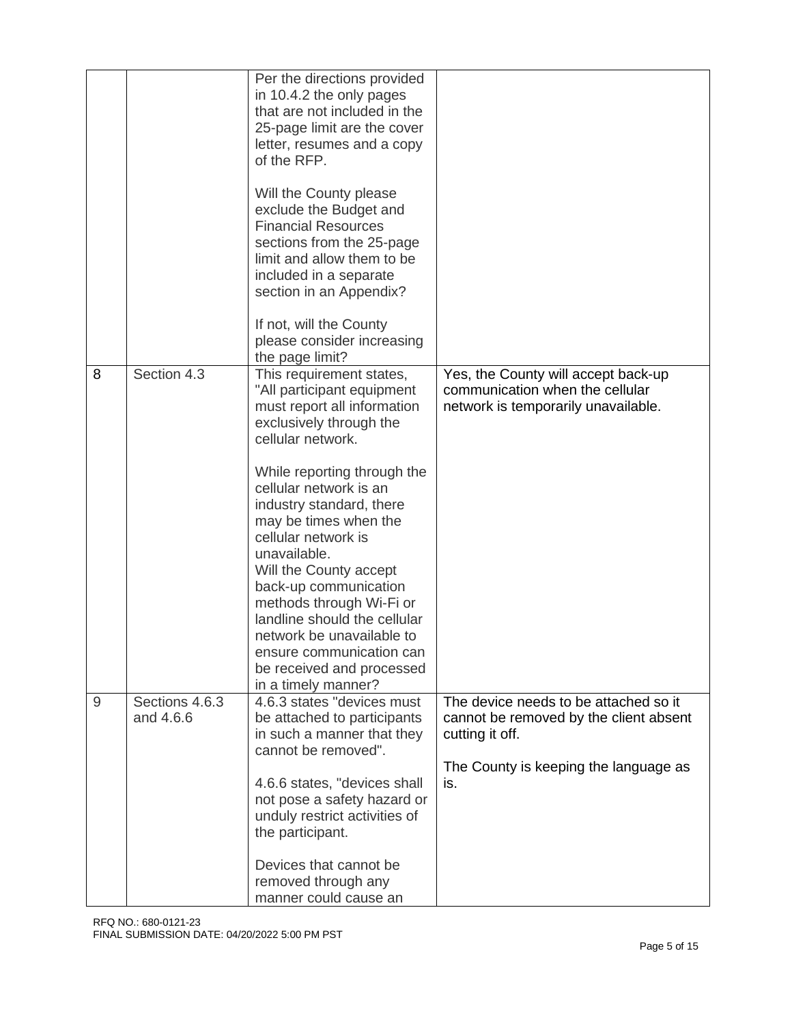|   |                             | Per the directions provided<br>in 10.4.2 the only pages<br>that are not included in the<br>25-page limit are the cover<br>letter, resumes and a copy<br>of the RFP.<br>Will the County please<br>exclude the Budget and<br><b>Financial Resources</b><br>sections from the 25-page<br>limit and allow them to be<br>included in a separate<br>section in an Appendix?<br>If not, will the County<br>please consider increasing<br>the page limit?                                                                      |                                                                                                                                                    |
|---|-----------------------------|------------------------------------------------------------------------------------------------------------------------------------------------------------------------------------------------------------------------------------------------------------------------------------------------------------------------------------------------------------------------------------------------------------------------------------------------------------------------------------------------------------------------|----------------------------------------------------------------------------------------------------------------------------------------------------|
| 8 | Section 4.3                 | This requirement states,<br>"All participant equipment<br>must report all information<br>exclusively through the<br>cellular network.<br>While reporting through the<br>cellular network is an<br>industry standard, there<br>may be times when the<br>cellular network is<br>unavailable.<br>Will the County accept<br>back-up communication<br>methods through Wi-Fi or<br>landline should the cellular<br>network be unavailable to<br>ensure communication can<br>be received and processed<br>in a timely manner? | Yes, the County will accept back-up<br>communication when the cellular<br>network is temporarily unavailable.                                      |
| 9 | Sections 4.6.3<br>and 4.6.6 | 4.6.3 states "devices must<br>be attached to participants<br>in such a manner that they<br>cannot be removed".<br>4.6.6 states, "devices shall<br>not pose a safety hazard or<br>unduly restrict activities of<br>the participant.<br>Devices that cannot be<br>removed through any<br>manner could cause an                                                                                                                                                                                                           | The device needs to be attached so it<br>cannot be removed by the client absent<br>cutting it off.<br>The County is keeping the language as<br>is. |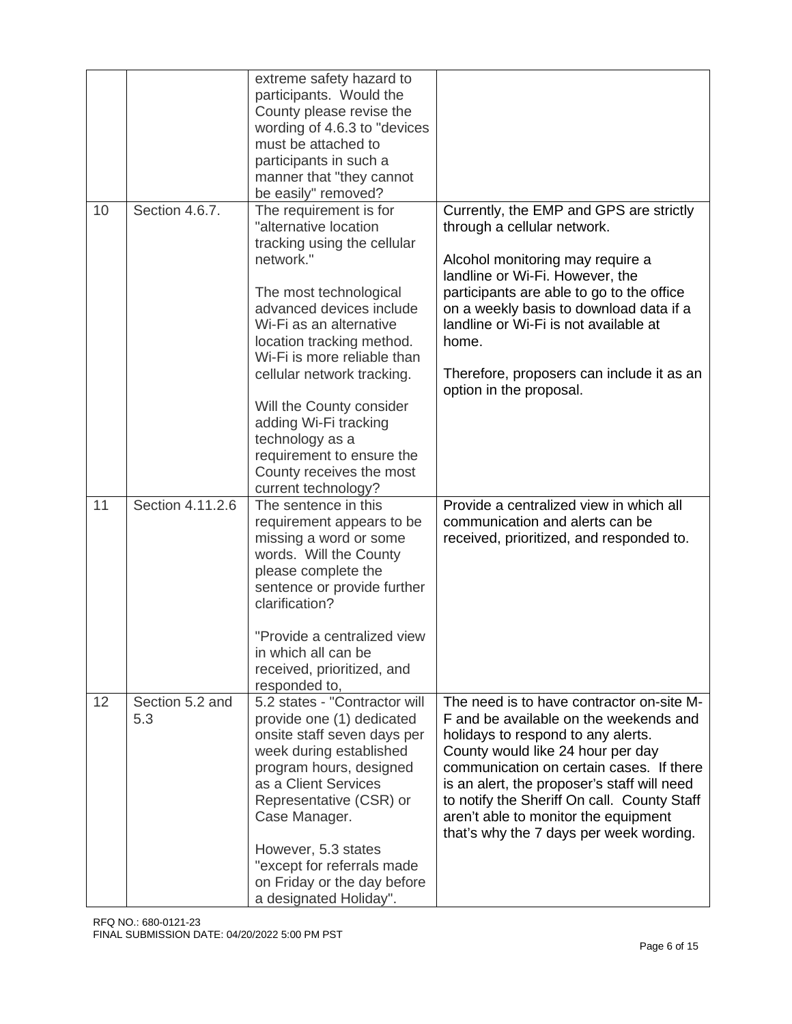|    |                        | extreme safety hazard to<br>participants. Would the<br>County please revise the<br>wording of 4.6.3 to "devices"<br>must be attached to<br>participants in such a<br>manner that "they cannot<br>be easily" removed?                                                                                                              |                                                                                                                                                                                                                                                                                                                                                                                             |
|----|------------------------|-----------------------------------------------------------------------------------------------------------------------------------------------------------------------------------------------------------------------------------------------------------------------------------------------------------------------------------|---------------------------------------------------------------------------------------------------------------------------------------------------------------------------------------------------------------------------------------------------------------------------------------------------------------------------------------------------------------------------------------------|
| 10 | Section 4.6.7.         | The requirement is for<br>"alternative location<br>tracking using the cellular<br>network."<br>The most technological<br>advanced devices include<br>Wi-Fi as an alternative<br>location tracking method.                                                                                                                         | Currently, the EMP and GPS are strictly<br>through a cellular network.<br>Alcohol monitoring may require a<br>landline or Wi-Fi. However, the<br>participants are able to go to the office<br>on a weekly basis to download data if a<br>landline or Wi-Fi is not available at<br>home.                                                                                                     |
|    |                        | Wi-Fi is more reliable than<br>cellular network tracking.<br>Will the County consider<br>adding Wi-Fi tracking<br>technology as a<br>requirement to ensure the<br>County receives the most<br>current technology?                                                                                                                 | Therefore, proposers can include it as an<br>option in the proposal.                                                                                                                                                                                                                                                                                                                        |
| 11 | Section 4.11.2.6       | The sentence in this<br>requirement appears to be<br>missing a word or some<br>words. Will the County<br>please complete the<br>sentence or provide further<br>clarification?<br>"Provide a centralized view<br>in which all can be<br>received, prioritized, and<br>responded to,                                                | Provide a centralized view in which all<br>communication and alerts can be<br>received, prioritized, and responded to.                                                                                                                                                                                                                                                                      |
| 12 | Section 5.2 and<br>5.3 | 5.2 states - "Contractor will<br>provide one (1) dedicated<br>onsite staff seven days per<br>week during established<br>program hours, designed<br>as a Client Services<br>Representative (CSR) or<br>Case Manager.<br>However, 5.3 states<br>"except for referrals made<br>on Friday or the day before<br>a designated Holiday". | The need is to have contractor on-site M-<br>F and be available on the weekends and<br>holidays to respond to any alerts.<br>County would like 24 hour per day<br>communication on certain cases. If there<br>is an alert, the proposer's staff will need<br>to notify the Sheriff On call. County Staff<br>aren't able to monitor the equipment<br>that's why the 7 days per week wording. |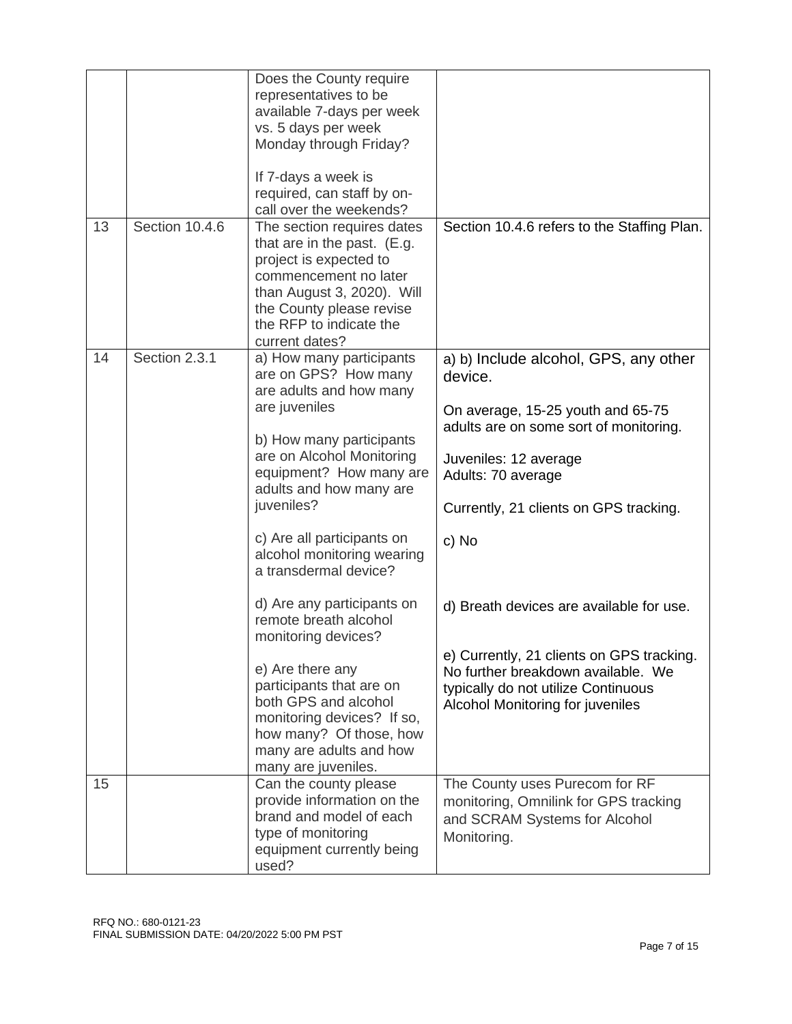|    |                | Does the County require<br>representatives to be<br>available 7-days per week<br>vs. 5 days per week<br>Monday through Friday?<br>If 7-days a week is<br>required, can staff by on-<br>call over the weekends?                                                                                                                                                                                                                                                                                                                                                                  |                                                                                                                                                                                                                                                                                                                                                                                                                                             |
|----|----------------|---------------------------------------------------------------------------------------------------------------------------------------------------------------------------------------------------------------------------------------------------------------------------------------------------------------------------------------------------------------------------------------------------------------------------------------------------------------------------------------------------------------------------------------------------------------------------------|---------------------------------------------------------------------------------------------------------------------------------------------------------------------------------------------------------------------------------------------------------------------------------------------------------------------------------------------------------------------------------------------------------------------------------------------|
| 13 | Section 10.4.6 | The section requires dates<br>that are in the past. (E.g.<br>project is expected to<br>commencement no later<br>than August 3, 2020). Will<br>the County please revise<br>the RFP to indicate the<br>current dates?                                                                                                                                                                                                                                                                                                                                                             | Section 10.4.6 refers to the Staffing Plan.                                                                                                                                                                                                                                                                                                                                                                                                 |
| 14 | Section 2.3.1  | a) How many participants<br>are on GPS? How many<br>are adults and how many<br>are juveniles<br>b) How many participants<br>are on Alcohol Monitoring<br>equipment? How many are<br>adults and how many are<br>juveniles?<br>c) Are all participants on<br>alcohol monitoring wearing<br>a transdermal device?<br>d) Are any participants on<br>remote breath alcohol<br>monitoring devices?<br>e) Are there any<br>participants that are on<br>both GPS and alcohol<br>monitoring devices? If so,<br>how many? Of those, how<br>many are adults and how<br>many are juveniles. | a) b) Include alcohol, GPS, any other<br>device.<br>On average, 15-25 youth and 65-75<br>adults are on some sort of monitoring.<br>Juveniles: 12 average<br>Adults: 70 average<br>Currently, 21 clients on GPS tracking.<br>c) No<br>d) Breath devices are available for use.<br>e) Currently, 21 clients on GPS tracking.<br>No further breakdown available. We<br>typically do not utilize Continuous<br>Alcohol Monitoring for juveniles |
| 15 |                | Can the county please<br>provide information on the<br>brand and model of each<br>type of monitoring<br>equipment currently being<br>used?                                                                                                                                                                                                                                                                                                                                                                                                                                      | The County uses Purecom for RF<br>monitoring, Omnilink for GPS tracking<br>and SCRAM Systems for Alcohol<br>Monitoring.                                                                                                                                                                                                                                                                                                                     |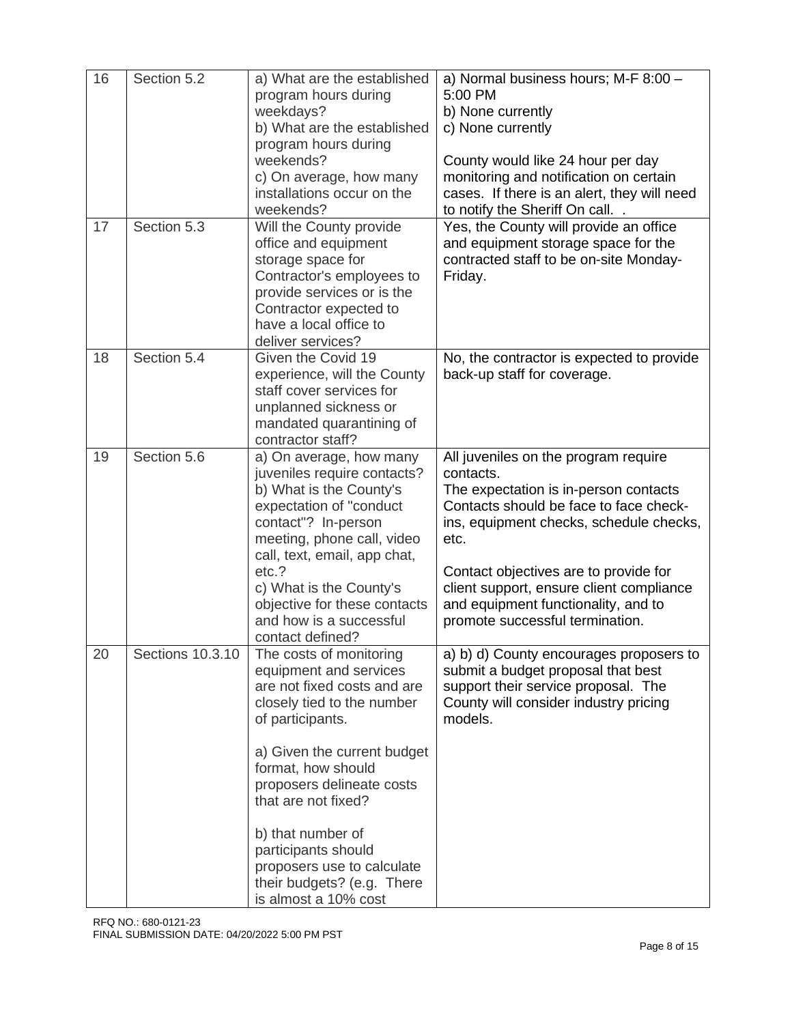| 16 | Section 5.2      | a) What are the established<br>program hours during<br>weekdays?<br>b) What are the established<br>program hours during<br>weekends?<br>c) On average, how many<br>installations occur on the<br>weekends?                                                                                                                                                                  | a) Normal business hours; M-F 8:00 -<br>5:00 PM<br>b) None currently<br>c) None currently<br>County would like 24 hour per day<br>monitoring and notification on certain<br>cases. If there is an alert, they will need<br>to notify the Sheriff On call                                                                                               |
|----|------------------|-----------------------------------------------------------------------------------------------------------------------------------------------------------------------------------------------------------------------------------------------------------------------------------------------------------------------------------------------------------------------------|--------------------------------------------------------------------------------------------------------------------------------------------------------------------------------------------------------------------------------------------------------------------------------------------------------------------------------------------------------|
| 17 | Section 5.3      | Will the County provide<br>office and equipment<br>storage space for<br>Contractor's employees to<br>provide services or is the<br>Contractor expected to<br>have a local office to<br>deliver services?                                                                                                                                                                    | Yes, the County will provide an office<br>and equipment storage space for the<br>contracted staff to be on-site Monday-<br>Friday.                                                                                                                                                                                                                     |
| 18 | Section 5.4      | Given the Covid 19<br>experience, will the County<br>staff cover services for<br>unplanned sickness or<br>mandated quarantining of<br>contractor staff?                                                                                                                                                                                                                     | No, the contractor is expected to provide<br>back-up staff for coverage.                                                                                                                                                                                                                                                                               |
| 19 | Section 5.6      | a) On average, how many<br>juveniles require contacts?<br>b) What is the County's<br>expectation of "conduct<br>contact"? In-person<br>meeting, phone call, video<br>call, text, email, app chat,<br>etc.?<br>c) What is the County's<br>objective for these contacts<br>and how is a successful<br>contact defined?                                                        | All juveniles on the program require<br>contacts.<br>The expectation is in-person contacts<br>Contacts should be face to face check-<br>ins, equipment checks, schedule checks,<br>etc.<br>Contact objectives are to provide for<br>client support, ensure client compliance<br>and equipment functionality, and to<br>promote successful termination. |
| 20 | Sections 10.3.10 | The costs of monitoring<br>equipment and services<br>are not fixed costs and are<br>closely tied to the number<br>of participants.<br>a) Given the current budget<br>format, how should<br>proposers delineate costs<br>that are not fixed?<br>b) that number of<br>participants should<br>proposers use to calculate<br>their budgets? (e.g. There<br>is almost a 10% cost | a) b) d) County encourages proposers to<br>submit a budget proposal that best<br>support their service proposal. The<br>County will consider industry pricing<br>models.                                                                                                                                                                               |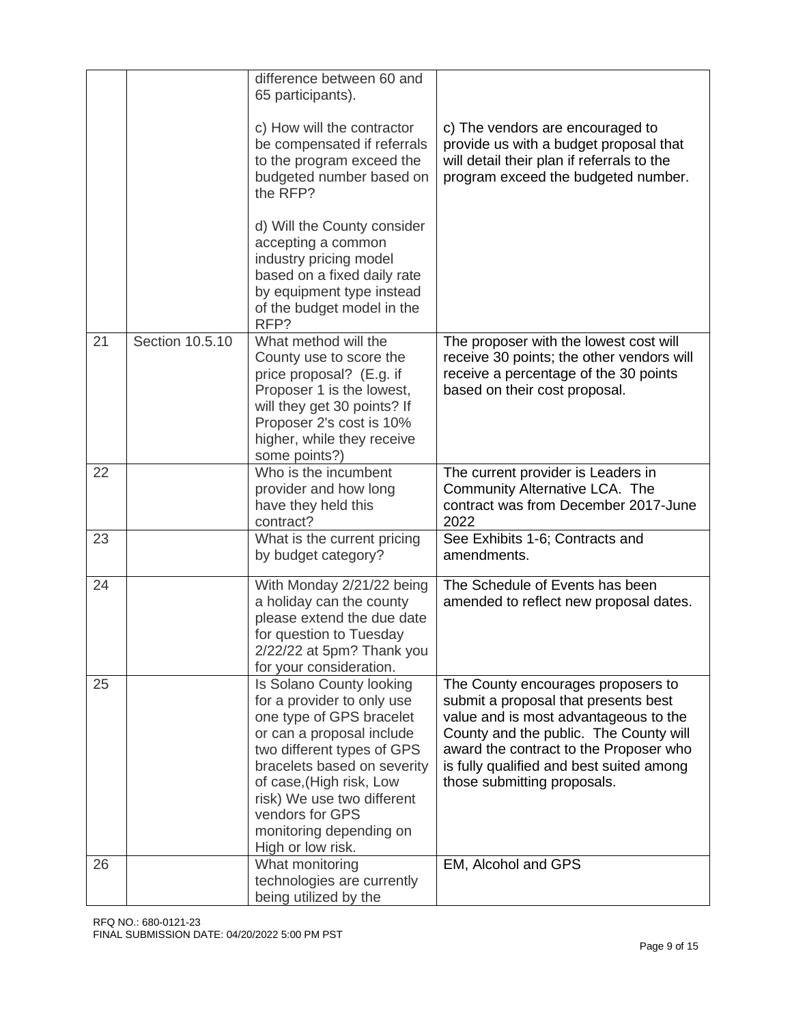|    |                 | difference between 60 and<br>65 participants).                                                                                                                                                                                                                                                            |                                                                                                                                                                                                                                                                                    |
|----|-----------------|-----------------------------------------------------------------------------------------------------------------------------------------------------------------------------------------------------------------------------------------------------------------------------------------------------------|------------------------------------------------------------------------------------------------------------------------------------------------------------------------------------------------------------------------------------------------------------------------------------|
|    |                 | c) How will the contractor<br>be compensated if referrals<br>to the program exceed the<br>budgeted number based on<br>the RFP?                                                                                                                                                                            | c) The vendors are encouraged to<br>provide us with a budget proposal that<br>will detail their plan if referrals to the<br>program exceed the budgeted number.                                                                                                                    |
|    |                 | d) Will the County consider<br>accepting a common<br>industry pricing model<br>based on a fixed daily rate<br>by equipment type instead<br>of the budget model in the<br>RFP?                                                                                                                             |                                                                                                                                                                                                                                                                                    |
| 21 | Section 10.5.10 | What method will the<br>County use to score the<br>price proposal? (E.g. if<br>Proposer 1 is the lowest,<br>will they get 30 points? If<br>Proposer 2's cost is 10%<br>higher, while they receive<br>some points?)                                                                                        | The proposer with the lowest cost will<br>receive 30 points; the other vendors will<br>receive a percentage of the 30 points<br>based on their cost proposal.                                                                                                                      |
| 22 |                 | Who is the incumbent<br>provider and how long<br>have they held this<br>contract?                                                                                                                                                                                                                         | The current provider is Leaders in<br>Community Alternative LCA. The<br>contract was from December 2017-June<br>2022                                                                                                                                                               |
| 23 |                 | What is the current pricing<br>by budget category?                                                                                                                                                                                                                                                        | See Exhibits 1-6; Contracts and<br>amendments.                                                                                                                                                                                                                                     |
| 24 |                 | With Monday 2/21/22 being<br>a holiday can the county<br>please extend the due date<br>for question to Tuesday<br>2/22/22 at 5pm? Thank you<br>for your consideration.                                                                                                                                    | The Schedule of Events has been<br>amended to reflect new proposal dates.                                                                                                                                                                                                          |
| 25 |                 | Is Solano County looking<br>for a provider to only use<br>one type of GPS bracelet<br>or can a proposal include<br>two different types of GPS<br>bracelets based on severity<br>of case, (High risk, Low<br>risk) We use two different<br>vendors for GPS<br>monitoring depending on<br>High or low risk. | The County encourages proposers to<br>submit a proposal that presents best<br>value and is most advantageous to the<br>County and the public. The County will<br>award the contract to the Proposer who<br>is fully qualified and best suited among<br>those submitting proposals. |
| 26 |                 | What monitoring<br>technologies are currently<br>being utilized by the                                                                                                                                                                                                                                    | EM, Alcohol and GPS                                                                                                                                                                                                                                                                |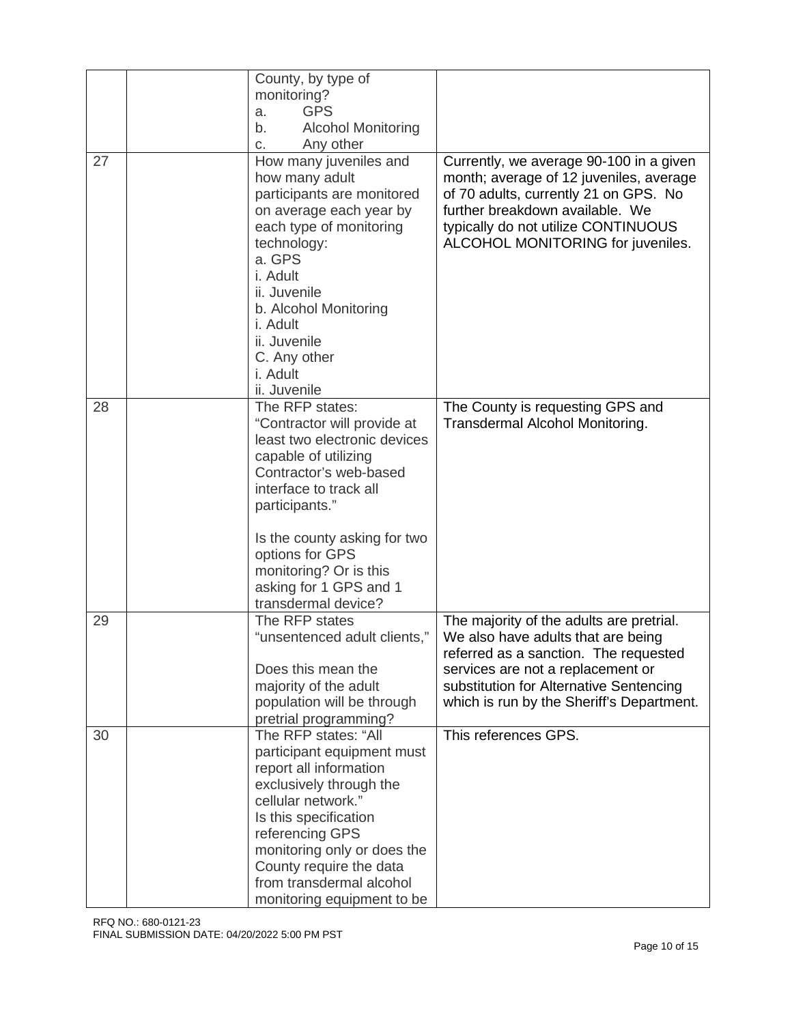|    | County, by type of<br>monitoring?                                                                                                                                                                                                                                                       |                                                                                                                                                                                                                                            |
|----|-----------------------------------------------------------------------------------------------------------------------------------------------------------------------------------------------------------------------------------------------------------------------------------------|--------------------------------------------------------------------------------------------------------------------------------------------------------------------------------------------------------------------------------------------|
|    | <b>GPS</b><br>a.                                                                                                                                                                                                                                                                        |                                                                                                                                                                                                                                            |
|    | <b>Alcohol Monitoring</b><br>b.                                                                                                                                                                                                                                                         |                                                                                                                                                                                                                                            |
|    | Any other<br>C.                                                                                                                                                                                                                                                                         |                                                                                                                                                                                                                                            |
| 27 | How many juveniles and<br>how many adult<br>participants are monitored<br>on average each year by<br>each type of monitoring<br>technology:<br>a. GPS<br>i. Adult<br>ii. Juvenile<br>b. Alcohol Monitoring<br>i. Adult<br>ii. Juvenile<br>C. Any other<br>i. Adult<br>ii. Juvenile      | Currently, we average 90-100 in a given<br>month; average of 12 juveniles, average<br>of 70 adults, currently 21 on GPS. No<br>further breakdown available. We<br>typically do not utilize CONTINUOUS<br>ALCOHOL MONITORING for juveniles. |
| 28 | The RFP states:                                                                                                                                                                                                                                                                         | The County is requesting GPS and                                                                                                                                                                                                           |
|    | "Contractor will provide at<br>least two electronic devices<br>capable of utilizing<br>Contractor's web-based<br>interface to track all<br>participants."<br>Is the county asking for two<br>options for GPS<br>monitoring? Or is this<br>asking for 1 GPS and 1<br>transdermal device? | Transdermal Alcohol Monitoring.                                                                                                                                                                                                            |
| 29 | The RFP states                                                                                                                                                                                                                                                                          | The majority of the adults are pretrial.                                                                                                                                                                                                   |
|    | "unsentenced adult clients,"                                                                                                                                                                                                                                                            | We also have adults that are being<br>referred as a sanction. The requested                                                                                                                                                                |
|    | Does this mean the                                                                                                                                                                                                                                                                      | services are not a replacement or                                                                                                                                                                                                          |
|    | majority of the adult                                                                                                                                                                                                                                                                   | substitution for Alternative Sentencing                                                                                                                                                                                                    |
|    | population will be through                                                                                                                                                                                                                                                              | which is run by the Sheriff's Department.                                                                                                                                                                                                  |
|    | pretrial programming?                                                                                                                                                                                                                                                                   |                                                                                                                                                                                                                                            |
| 30 | The RFP states: "All<br>participant equipment must                                                                                                                                                                                                                                      | This references GPS.                                                                                                                                                                                                                       |
|    | report all information                                                                                                                                                                                                                                                                  |                                                                                                                                                                                                                                            |
|    | exclusively through the                                                                                                                                                                                                                                                                 |                                                                                                                                                                                                                                            |
|    | cellular network."                                                                                                                                                                                                                                                                      |                                                                                                                                                                                                                                            |
|    | Is this specification                                                                                                                                                                                                                                                                   |                                                                                                                                                                                                                                            |
|    | referencing GPS                                                                                                                                                                                                                                                                         |                                                                                                                                                                                                                                            |
|    | monitoring only or does the<br>County require the data                                                                                                                                                                                                                                  |                                                                                                                                                                                                                                            |
|    | from transdermal alcohol                                                                                                                                                                                                                                                                |                                                                                                                                                                                                                                            |
|    | monitoring equipment to be                                                                                                                                                                                                                                                              |                                                                                                                                                                                                                                            |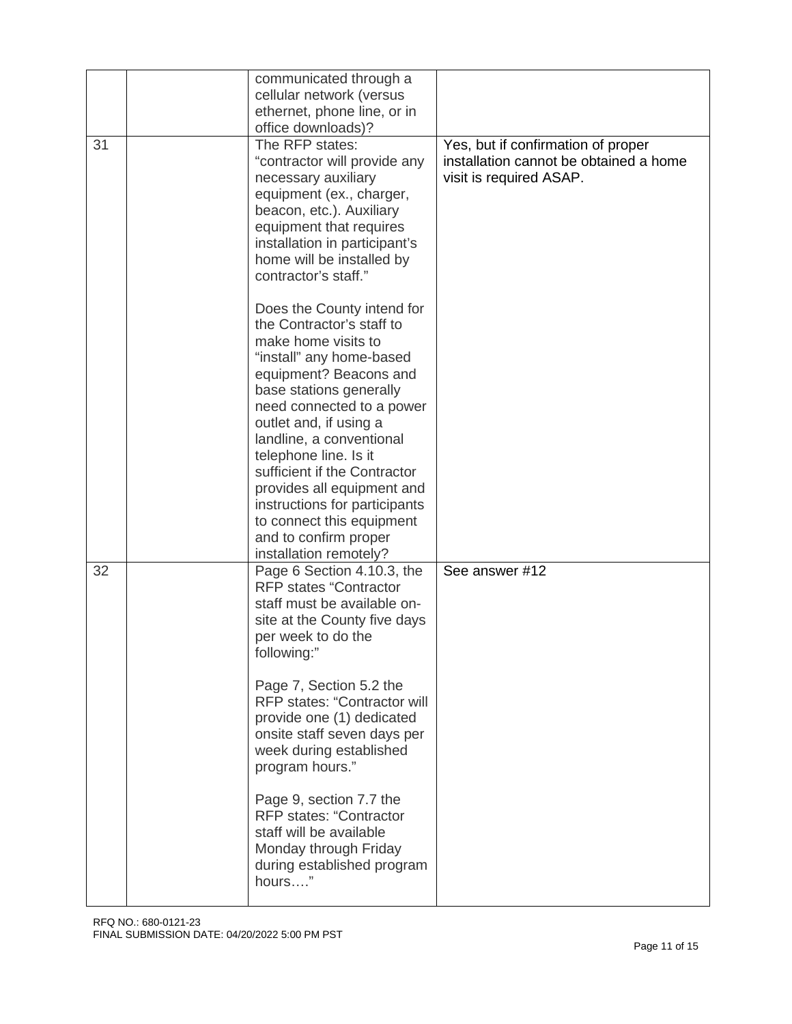|    | communicated through a<br>cellular network (versus<br>ethernet, phone line, or in<br>office downloads)?                                                                                                                                                                                                                                                                                                                                                                                              |                                                                                                         |
|----|------------------------------------------------------------------------------------------------------------------------------------------------------------------------------------------------------------------------------------------------------------------------------------------------------------------------------------------------------------------------------------------------------------------------------------------------------------------------------------------------------|---------------------------------------------------------------------------------------------------------|
| 31 | The RFP states:<br>"contractor will provide any<br>necessary auxiliary<br>equipment (ex., charger,<br>beacon, etc.). Auxiliary<br>equipment that requires<br>installation in participant's<br>home will be installed by<br>contractor's staff."                                                                                                                                                                                                                                                      | Yes, but if confirmation of proper<br>installation cannot be obtained a home<br>visit is required ASAP. |
|    | Does the County intend for<br>the Contractor's staff to<br>make home visits to<br>"install" any home-based<br>equipment? Beacons and<br>base stations generally<br>need connected to a power<br>outlet and, if using a<br>landline, a conventional<br>telephone line. Is it<br>sufficient if the Contractor<br>provides all equipment and<br>instructions for participants<br>to connect this equipment<br>and to confirm proper<br>installation remotely?                                           |                                                                                                         |
| 32 | Page 6 Section 4.10.3, the<br><b>RFP states "Contractor</b><br>staff must be available on-<br>site at the County five days<br>per week to do the<br>following:"<br>Page 7, Section 5.2 the<br><b>RFP states: "Contractor will</b><br>provide one (1) dedicated<br>onsite staff seven days per<br>week during established<br>program hours."<br>Page 9, section 7.7 the<br><b>RFP states: "Contractor</b><br>staff will be available<br>Monday through Friday<br>during established program<br>hours" | See answer #12                                                                                          |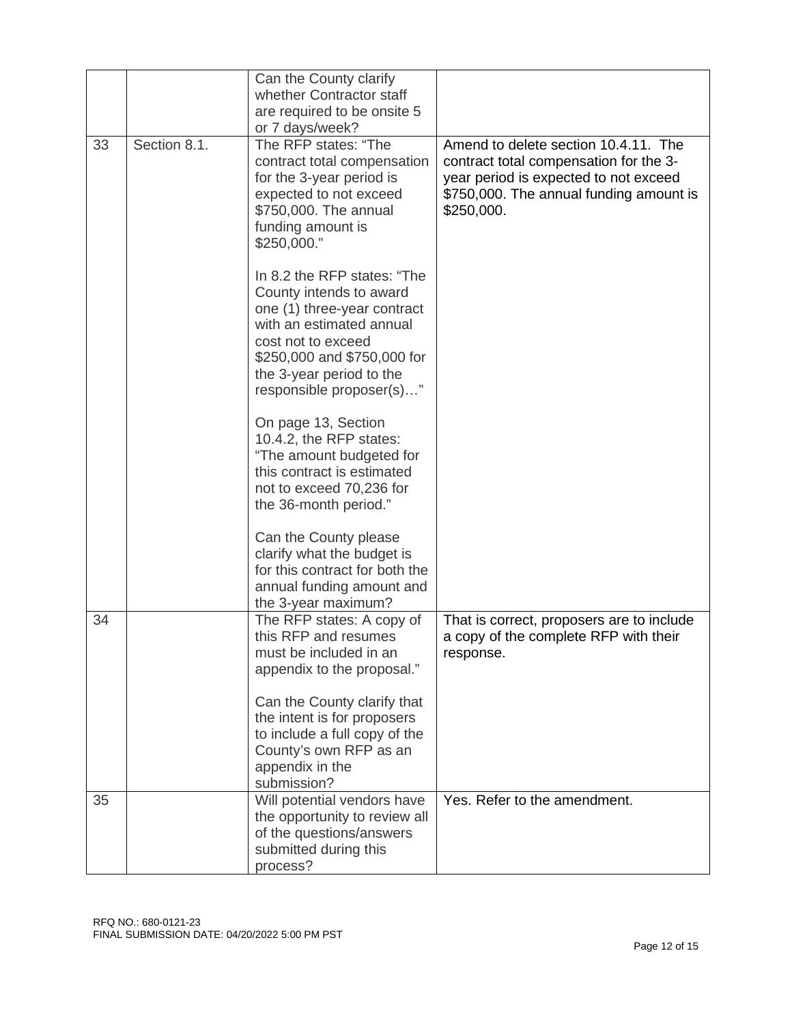|    |              | Can the County clarify<br>whether Contractor staff                                                                                                                                                                             |                                                                                                                                                                                  |
|----|--------------|--------------------------------------------------------------------------------------------------------------------------------------------------------------------------------------------------------------------------------|----------------------------------------------------------------------------------------------------------------------------------------------------------------------------------|
|    |              | are required to be onsite 5                                                                                                                                                                                                    |                                                                                                                                                                                  |
|    |              | or 7 days/week?                                                                                                                                                                                                                |                                                                                                                                                                                  |
| 33 | Section 8.1. | The RFP states: "The<br>contract total compensation<br>for the 3-year period is<br>expected to not exceed<br>\$750,000. The annual<br>funding amount is<br>\$250,000."                                                         | Amend to delete section 10.4.11. The<br>contract total compensation for the 3-<br>year period is expected to not exceed<br>\$750,000. The annual funding amount is<br>\$250,000. |
|    |              | In 8.2 the RFP states: "The<br>County intends to award<br>one (1) three-year contract<br>with an estimated annual<br>cost not to exceed<br>\$250,000 and \$750,000 for<br>the 3-year period to the<br>responsible proposer(s)" |                                                                                                                                                                                  |
|    |              | On page 13, Section<br>10.4.2, the RFP states:<br>"The amount budgeted for<br>this contract is estimated<br>not to exceed 70,236 for<br>the 36-month period."                                                                  |                                                                                                                                                                                  |
|    |              | Can the County please<br>clarify what the budget is<br>for this contract for both the<br>annual funding amount and<br>the 3-year maximum?                                                                                      |                                                                                                                                                                                  |
| 34 |              | The RFP states: A copy of<br>this RFP and resumes<br>must be included in an<br>appendix to the proposal."                                                                                                                      | That is correct, proposers are to include<br>a copy of the complete RFP with their<br>response.                                                                                  |
|    |              | Can the County clarify that<br>the intent is for proposers<br>to include a full copy of the<br>County's own RFP as an<br>appendix in the<br>submission?                                                                        |                                                                                                                                                                                  |
| 35 |              | Will potential vendors have<br>the opportunity to review all<br>of the questions/answers<br>submitted during this<br>process?                                                                                                  | Yes. Refer to the amendment.                                                                                                                                                     |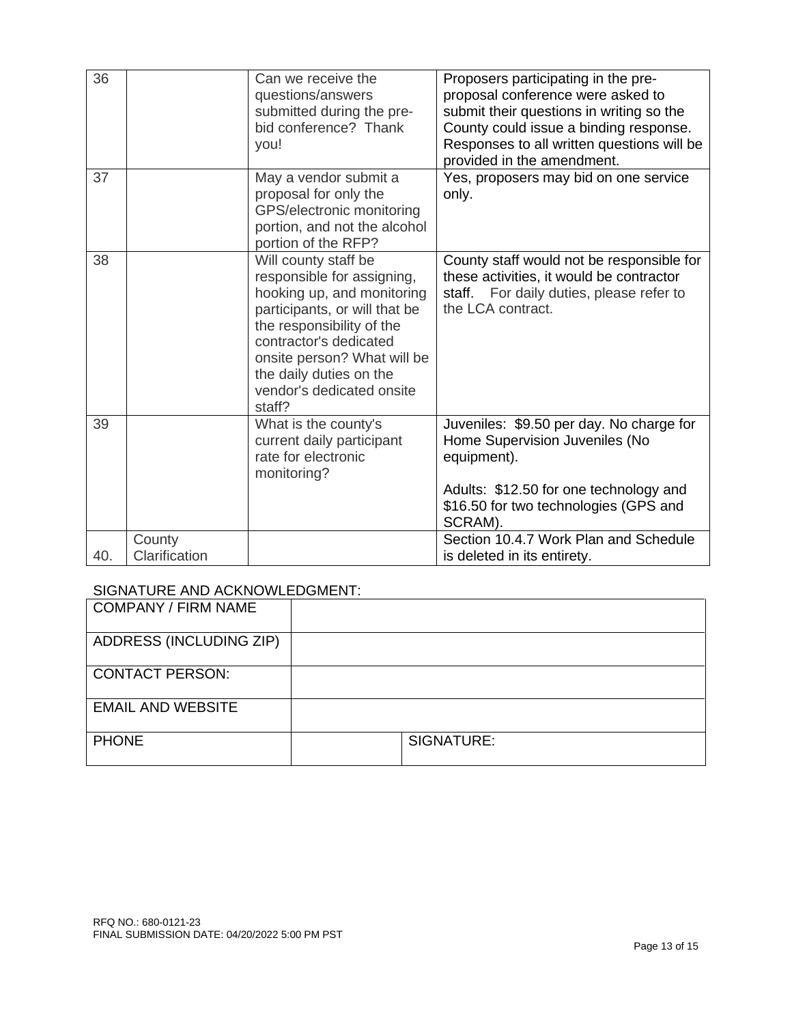| 36  |                         | Can we receive the<br>questions/answers<br>submitted during the pre-<br>bid conference? Thank<br>you!                                                                                                                                                                     | Proposers participating in the pre-<br>proposal conference were asked to<br>submit their questions in writing so the<br>County could issue a binding response.<br>Responses to all written questions will be<br>provided in the amendment. |
|-----|-------------------------|---------------------------------------------------------------------------------------------------------------------------------------------------------------------------------------------------------------------------------------------------------------------------|--------------------------------------------------------------------------------------------------------------------------------------------------------------------------------------------------------------------------------------------|
| 37  |                         | May a vendor submit a<br>proposal for only the<br>GPS/electronic monitoring<br>portion, and not the alcohol<br>portion of the RFP?                                                                                                                                        | Yes, proposers may bid on one service<br>only.                                                                                                                                                                                             |
| 38  |                         | Will county staff be<br>responsible for assigning,<br>hooking up, and monitoring<br>participants, or will that be<br>the responsibility of the<br>contractor's dedicated<br>onsite person? What will be<br>the daily duties on the<br>vendor's dedicated onsite<br>staff? | County staff would not be responsible for<br>these activities, it would be contractor<br>staff. For daily duties, please refer to<br>the LCA contract.                                                                                     |
| 39  |                         | What is the county's<br>current daily participant<br>rate for electronic<br>monitoring?                                                                                                                                                                                   | Juveniles: \$9.50 per day. No charge for<br>Home Supervision Juveniles (No<br>equipment).<br>Adults: \$12.50 for one technology and<br>\$16.50 for two technologies (GPS and<br>SCRAM).                                                    |
| 40. | County<br>Clarification |                                                                                                                                                                                                                                                                           | Section 10.4.7 Work Plan and Schedule<br>is deleted in its entirety.                                                                                                                                                                       |

### SIGNATURE AND ACKNOWLEDGMENT:

| <b>COMPANY / FIRM NAME</b> |            |
|----------------------------|------------|
| ADDRESS (INCLUDING ZIP)    |            |
| <b>CONTACT PERSON:</b>     |            |
| <b>EMAIL AND WEBSITE</b>   |            |
| <b>PHONE</b>               | SIGNATURE: |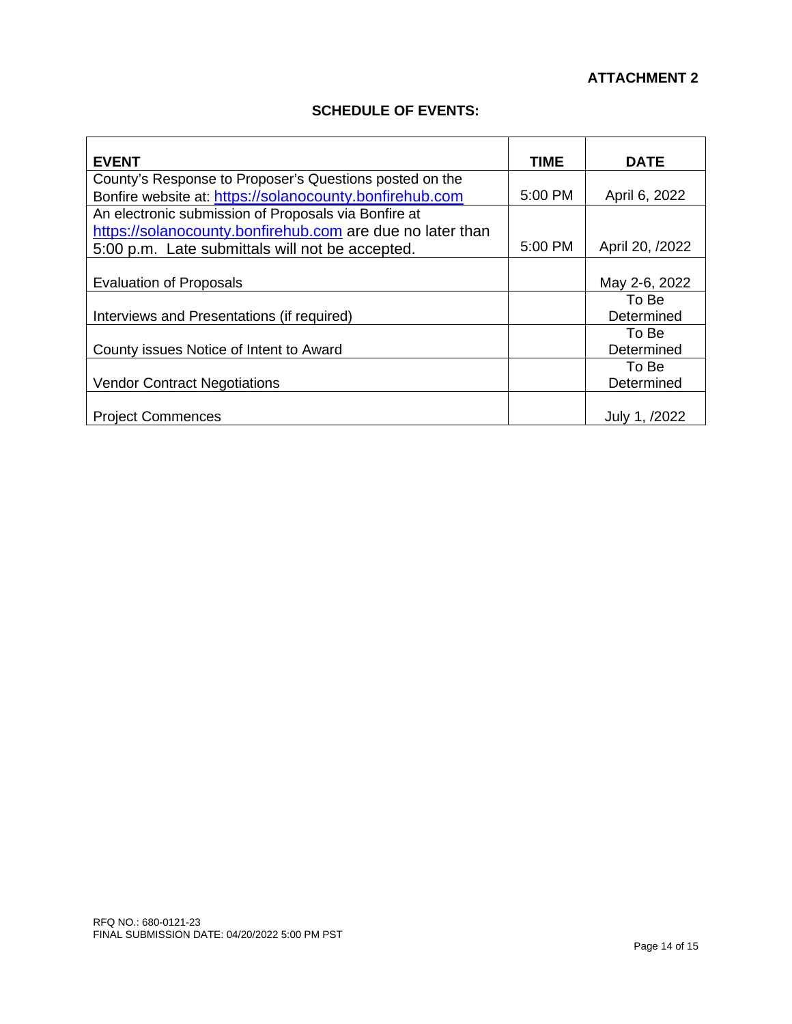#### **ATTACHMENT 2**

#### **SCHEDULE OF EVENTS:**

| <b>EVENT</b>                                              | <b>TIME</b>         | DATE                      |
|-----------------------------------------------------------|---------------------|---------------------------|
| County's Response to Proposer's Questions posted on the   |                     |                           |
| Bonfire website at: https://solanocounty.bonfirehub.com   | 5:00 PM             | April 6, 2022             |
| An electronic submission of Proposals via Bonfire at      |                     |                           |
| https://solanocounty.bonfirehub.com are due no later than |                     |                           |
| 5:00 p.m. Late submittals will not be accepted.           | $5:00 \, \text{PM}$ | April 20, /2022           |
|                                                           |                     |                           |
| <b>Evaluation of Proposals</b>                            |                     | May 2-6, 2022             |
|                                                           |                     | To Be                     |
| Interviews and Presentations (if required)                |                     | Determined                |
|                                                           |                     | To Be                     |
| County issues Notice of Intent to Award                   |                     | Determined                |
|                                                           |                     | To Bel                    |
| <b>Vendor Contract Negotiations</b>                       |                     | Determined                |
|                                                           |                     |                           |
| <b>Project Commences</b>                                  |                     | July 1. $\prime$<br>/2022 |